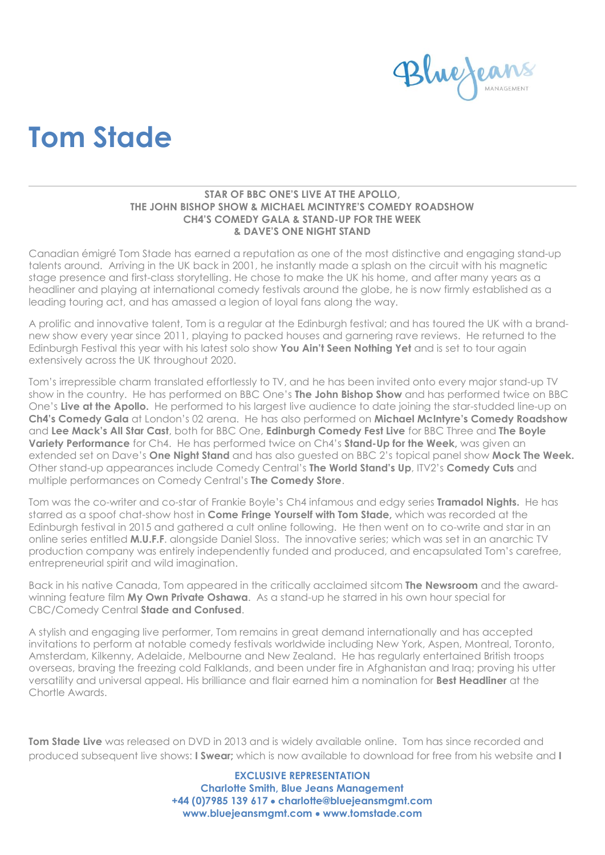

## **Tom Stade**

#### **STAR OF BBC ONE'S LIVE AT THE APOLLO, THE JOHN BISHOP SHOW & MICHAEL MCINTYRE'S COMEDY ROADSHOW CH4'S COMEDY GALA & STAND-UP FOR THE WEEK & DAVE'S ONE NIGHT STAND**

Canadian émigré Tom Stade has earned a reputation as one of the most distinctive and engaging stand-up talents around. Arriving in the UK back in 2001, he instantly made a splash on the circuit with his magnetic stage presence and first-class storytelling. He chose to make the UK his home, and after many years as a headliner and playing at international comedy festivals around the globe, he is now firmly established as a leading touring act, and has amassed a legion of loyal fans along the way.

A prolific and innovative talent, Tom is a regular at the Edinburgh festival; and has toured the UK with a brandnew show every year since 2011, playing to packed houses and garnering rave reviews. He returned to the Edinburgh Festival this year with his latest solo show **You Ain't Seen Nothing Yet** and is set to tour again extensively across the UK throughout 2020.

Tom's irrepressible charm translated effortlessly to TV, and he has been invited onto every major stand-up TV show in the country. He has performed on BBC One's **The John Bishop Show** and has performed twice on BBC One's **Live at the Apollo.** He performed to his largest live audience to date joining the star-studded line-up on **Ch4's Comedy Gala** at London's 02 arena. He has also performed on **Michael McIntyre's Comedy Roadshow** and **Lee Mack's All Star Cast**, both for BBC One, **Edinburgh Comedy Fest Live** for BBC Three and **The Boyle Variety Performance** for Ch4. He has performed twice on Ch4's **Stand-Up for the Week,** was given an extended set on Dave's **One Night Stand** and has also guested on BBC 2's topical panel show **Mock The Week.**  Other stand-up appearances include Comedy Central's **The World Stand's Up**, ITV2's **Comedy Cuts** and multiple performances on Comedy Central's **The Comedy Store**.

Tom was the co-writer and co-star of Frankie Boyle's Ch4 infamous and edgy series **Tramadol Nights.** He has starred as a spoof chat-show host in **Come Fringe Yourself with Tom Stade,** which was recorded at the Edinburgh festival in 2015 and gathered a cult online following. He then went on to co-write and star in an online series entitled **M.U.F.F**. alongside Daniel Sloss. The innovative series; which was set in an anarchic TV production company was entirely independently funded and produced, and encapsulated Tom's carefree, entrepreneurial spirit and wild imagination.

Back in his native Canada, Tom appeared in the critically acclaimed sitcom **The Newsroom** and the awardwinning feature film **My Own Private Oshawa**. As a stand-up he starred in his own hour special for CBC/Comedy Central **Stade and Confused**.

A stylish and engaging live performer, Tom remains in great demand internationally and has accepted invitations to perform at notable comedy festivals worldwide including New York, Aspen, Montreal, Toronto, Amsterdam, Kilkenny, Adelaide, Melbourne and New Zealand. He has regularly entertained British troops overseas, braving the freezing cold Falklands, and been under fire in Afghanistan and Iraq; proving his utter versatility and universal appeal. His brilliance and flair earned him a nomination for **Best Headliner** at the Chortle Awards.

**Tom Stade Live** was released on DVD in 2013 and is widely available online. Tom has since recorded and produced subsequent live shows: **I Swear;** which is now available to download for free from his website and **I** 

> **EXCLUSIVE REPRESENTATION Charlotte Smith, Blue Jeans Management +44 (0)7985 139 617** • **charlotte@bluejeansmgmt.com [www.bluejeansmgmt.com](http://www.bluejeansmgmt.com/)** • **www.tomstade.com**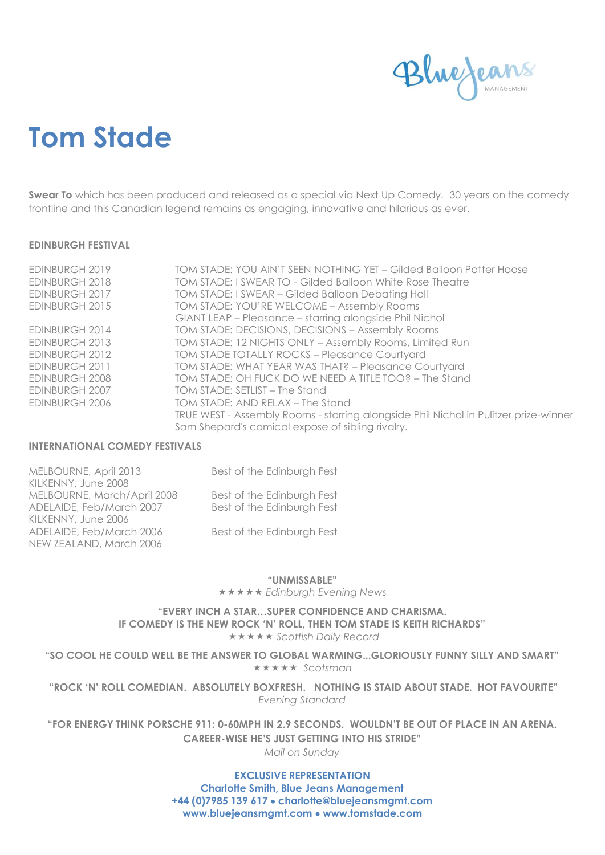

# **Tom Stade**

**Swear To** which has been produced and released as a special via Next Up Comedy. 30 years on the comedy frontline and this Canadian legend remains as engaging, innovative and hilarious as ever.

#### **EDINBURGH FESTIVAL**

| EDINBURGH 2019 | TOM STADE: YOU AIN'T SEEN NOTHING YET – Gilded Balloon Patter Hoose                  |
|----------------|--------------------------------------------------------------------------------------|
| EDINBURGH 2018 | TOM STADE: I SWEAR TO - Gilded Balloon White Rose Theatre                            |
| EDINBURGH 2017 | TOM STADE: I SWEAR - Gilded Balloon Debating Hall                                    |
| EDINBURGH 2015 | TOM STADE: YOU'RE WELCOME - Assembly Rooms                                           |
|                | GIANT LEAP - Pleasance - starring alongside Phil Nichol                              |
| EDINBURGH 2014 | TOM STADE: DECISIONS, DECISIONS - Assembly Rooms                                     |
| EDINBURGH 2013 | TOM STADE: 12 NIGHTS ONLY - Assembly Rooms, Limited Run                              |
| EDINBURGH 2012 | <b>TOM STADE TOTALLY ROCKS - Pleasance Courtyard</b>                                 |
| EDINBURGH 2011 | TOM STADE: WHAT YEAR WAS THAT? - Pleasance Courtyard                                 |
| EDINBURGH 2008 | TOM STADE: OH FUCK DO WE NEED A TITLE TOO? - The Stand                               |
| EDINBURGH 2007 | TOM STADE: SETLIST – The Stand                                                       |
| EDINBURGH 2006 | TOM STADE: AND RELAX - The Stand                                                     |
|                | TRUE WEST - Assembly Rooms - starring alongside Phil Nichol in Pulitzer prize-winner |
|                | Sam Shepard's comical expose of sibling rivalry.                                     |

#### **INTERNATIONAL COMEDY FESTIVALS**

| MELBOURNE, April 2013       | Best of the Edinburgh Fest |
|-----------------------------|----------------------------|
| KILKENNY, June 2008         |                            |
| MELBOURNE, March/April 2008 | Best of the Edinburgh Fest |
| ADELAIDE, Feb/March 2007    | Best of the Edinburgh Fest |
| KILKENNY, June 2006         |                            |
| ADELAIDE, Feb/March 2006    | Best of the Edinburgh Fest |
| NEW ZEALAND, March 2006     |                            |

#### **"UNMISSABLE"**

**★★★★★ Edinburgh Evening News** 

#### **"EVERY INCH A STAR…SUPER CONFIDENCE AND CHARISMA. IF COMEDY IS THE NEW ROCK 'N' ROLL, THEN TOM STADE IS KEITH RICHARDS" ★★★★★ Scottish Daily Record**

**"SO COOL HE COULD WELL BE THE ANSWER TO GLOBAL WARMING...GLORIOUSLY FUNNY SILLY AND SMART" ★★★★★** Scotsman

**"ROCK 'N' ROLL COMEDIAN. ABSOLUTELY BOXFRESH. NOTHING IS STAID ABOUT STADE. HOT FAVOURITE"** *Evening Standard*

**"FOR ENERGY THINK PORSCHE 911: 0-60MPH IN 2.9 SECONDS. WOULDN'T BE OUT OF PLACE IN AN ARENA. CAREER-WISE HE'S JUST GETTING INTO HIS STRIDE"**

*Mail on Sunday*

**EXCLUSIVE REPRESENTATION Charlotte Smith, Blue Jeans Management +44 (0)7985 139 617** • **charlotte@bluejeansmgmt.com [www.bluejeansmgmt.com](http://www.bluejeansmgmt.com/)** • **www.tomstade.com**